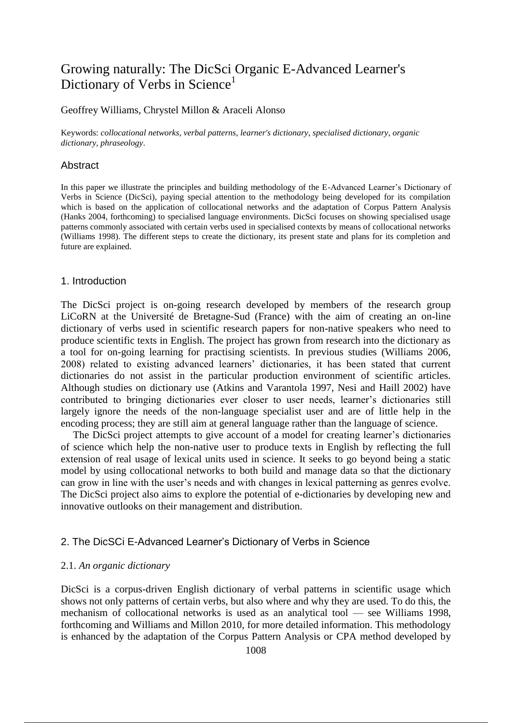# Growing naturally: The DicSci Organic E-Advanced Learner's Dictionary of Verbs in Science<sup>1</sup>

# Geoffrey Williams, Chrystel Millon & Araceli Alonso

Keywords: *collocational networks*, *verbal patterns*, *learner's dictionary*, *specialised dictionary*, *organic dictionary, phraseology*.

# **Abstract**

In this paper we illustrate the principles and building methodology of the E-Advanced Learner's Dictionary of Verbs in Science (DicSci), paying special attention to the methodology being developed for its compilation which is based on the application of collocational networks and the adaptation of Corpus Pattern Analysis (Hanks 2004, forthcoming) to specialised language environments. DicSci focuses on showing specialised usage patterns commonly associated with certain verbs used in specialised contexts by means of collocational networks (Williams 1998). The different steps to create the dictionary, its present state and plans for its completion and future are explained.

#### 1. Introduction

The DicSci project is on-going research developed by members of the research group LiCoRN at the Université de Bretagne-Sud (France) with the aim of creating an on-line dictionary of verbs used in scientific research papers for non-native speakers who need to produce scientific texts in English. The project has grown from research into the dictionary as a tool for on-going learning for practising scientists. In previous studies (Williams 2006, 2008) related to existing advanced learners' dictionaries, it has been stated that current dictionaries do not assist in the particular production environment of scientific articles. Although studies on dictionary use (Atkins and Varantola 1997, Nesi and Haill 2002) have contributed to bringing dictionaries ever closer to user needs, learner's dictionaries still largely ignore the needs of the non-language specialist user and are of little help in the encoding process; they are still aim at general language rather than the language of science.

The DicSci project attempts to give account of a model for creating learner's dictionaries of science which help the non-native user to produce texts in English by reflecting the full extension of real usage of lexical units used in science. It seeks to go beyond being a static model by using collocational networks to both build and manage data so that the dictionary can grow in line with the user's needs and with changes in lexical patterning as genres evolve. The DicSci project also aims to explore the potential of e-dictionaries by developing new and innovative outlooks on their management and distribution.

### 2. The DicSCi E-Advanced Learner's Dictionary of Verbs in Science

#### 2.1. *An organic dictionary*

DicSci is a corpus-driven English dictionary of verbal patterns in scientific usage which shows not only patterns of certain verbs, but also where and why they are used. To do this, the mechanism of collocational networks is used as an analytical tool — see Williams 1998, forthcoming and Williams and Millon 2010, for more detailed information. This methodology is enhanced by the adaptation of the Corpus Pattern Analysis or CPA method developed by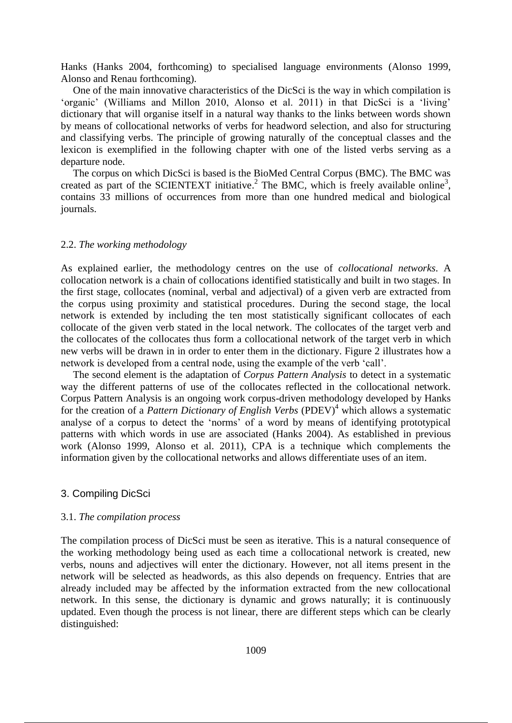Hanks (Hanks 2004, forthcoming) to specialised language environments (Alonso 1999, Alonso and Renau forthcoming).

One of the main innovative characteristics of the DicSci is the way in which compilation is 'organic' (Williams and Millon 2010, Alonso et al. 2011) in that DicSci is a 'living' dictionary that will organise itself in a natural way thanks to the links between words shown by means of collocational networks of verbs for headword selection, and also for structuring and classifying verbs. The principle of growing naturally of the conceptual classes and the lexicon is exemplified in the following chapter with one of the listed verbs serving as a departure node.

The corpus on which DicSci is based is the BioMed Central Corpus (BMC). The BMC was created as part of the SCIENTEXT initiative.<sup>2</sup> The BMC, which is freely available online<sup>3</sup>, contains 33 millions of occurrences from more than one hundred medical and biological journals.

# 2.2. *The working methodology*

As explained earlier, the methodology centres on the use of *collocational networks*. A collocation network is a chain of collocations identified statistically and built in two stages. In the first stage, collocates (nominal, verbal and adjectival) of a given verb are extracted from the corpus using proximity and statistical procedures. During the second stage, the local network is extended by including the ten most statistically significant collocates of each collocate of the given verb stated in the local network. The collocates of the target verb and the collocates of the collocates thus form a collocational network of the target verb in which new verbs will be drawn in in order to enter them in the dictionary. Figure 2 illustrates how a network is developed from a central node, using the example of the verb 'call'.

The second element is the adaptation of *Corpus Pattern Analysis* to detect in a systematic way the different patterns of use of the collocates reflected in the collocational network. Corpus Pattern Analysis is an ongoing work corpus-driven methodology developed by Hanks for the creation of a *Pattern Dictionary of English Verbs* (PDEV)<sup>4</sup> which allows a systematic analyse of a corpus to detect the 'norms' of a word by means of identifying prototypical patterns with which words in use are associated (Hanks 2004). As established in previous work (Alonso 1999, Alonso et al. 2011), CPA is a technique which complements the information given by the collocational networks and allows differentiate uses of an item.

# 3. Compiling DicSci

#### 3.1. *The compilation process*

The compilation process of DicSci must be seen as iterative. This is a natural consequence of the working methodology being used as each time a collocational network is created, new verbs, nouns and adjectives will enter the dictionary. However, not all items present in the network will be selected as headwords, as this also depends on frequency. Entries that are already included may be affected by the information extracted from the new collocational network. In this sense, the dictionary is dynamic and grows naturally; it is continuously updated. Even though the process is not linear, there are different steps which can be clearly distinguished: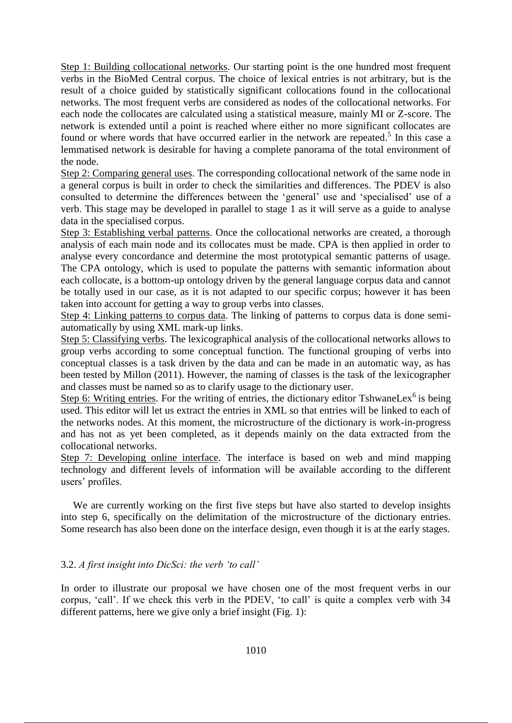Step 1: Building collocational networks. Our starting point is the one hundred most frequent verbs in the BioMed Central corpus. The choice of lexical entries is not arbitrary, but is the result of a choice guided by statistically significant collocations found in the collocational networks. The most frequent verbs are considered as nodes of the collocational networks. For each node the collocates are calculated using a statistical measure, mainly MI or Z-score. The network is extended until a point is reached where either no more significant collocates are found or where words that have occurred earlier in the network are repeated.<sup>5</sup> In this case a lemmatised network is desirable for having a complete panorama of the total environment of the node.

Step 2: Comparing general uses. The corresponding collocational network of the same node in a general corpus is built in order to check the similarities and differences. The PDEV is also consulted to determine the differences between the 'general' use and 'specialised' use of a verb. This stage may be developed in parallel to stage 1 as it will serve as a guide to analyse data in the specialised corpus.

Step 3: Establishing verbal patterns. Once the collocational networks are created, a thorough analysis of each main node and its collocates must be made. CPA is then applied in order to analyse every concordance and determine the most prototypical semantic patterns of usage. The CPA ontology, which is used to populate the patterns with semantic information about each collocate, is a bottom-up ontology driven by the general language corpus data and cannot be totally used in our case, as it is not adapted to our specific corpus; however it has been taken into account for getting a way to group verbs into classes.

Step 4: Linking patterns to corpus data. The linking of patterns to corpus data is done semiautomatically by using XML mark-up links.

Step 5: Classifying verbs. The lexicographical analysis of the collocational networks allows to group verbs according to some conceptual function. The functional grouping of verbs into conceptual classes is a task driven by the data and can be made in an automatic way, as has been tested by Millon (2011). However, the naming of classes is the task of the lexicographer and classes must be named so as to clarify usage to the dictionary user.

Step 6: Writing entries. For the writing of entries, the dictionary editor TshwaneLex $<sup>6</sup>$  is being</sup> used. This editor will let us extract the entries in XML so that entries will be linked to each of the networks nodes. At this moment, the microstructure of the dictionary is work-in-progress and has not as yet been completed, as it depends mainly on the data extracted from the collocational networks.

Step 7: Developing online interface. The interface is based on web and mind mapping technology and different levels of information will be available according to the different users' profiles.

We are currently working on the first five steps but have also started to develop insights into step 6, specifically on the delimitation of the microstructure of the dictionary entries. Some research has also been done on the interface design, even though it is at the early stages.

# 3.2. *A first insight into DicSci: the verb 'to call'*

In order to illustrate our proposal we have chosen one of the most frequent verbs in our corpus, 'call'. If we check this verb in the PDEV, 'to call' is quite a complex verb with 34 different patterns, here we give only a brief insight (Fig. 1):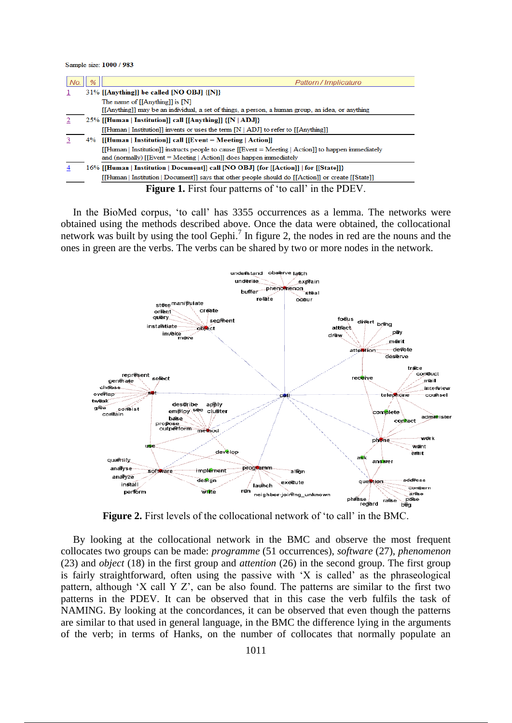Sample size: 1000 / 983

| No. | % | Pattern / Implicature                                                                                 |
|-----|---|-------------------------------------------------------------------------------------------------------|
|     |   | 31% [[Anything]] be called [NO OBJ] {[N]}                                                             |
|     |   | The name of $[[\text{Anything}]]$ is $[N]$                                                            |
|     |   | [[Anything]] may be an individual, a set of things, a person, a human group, an idea, or anything     |
|     |   | 25% [[Human   Institution]] call [[Anything]] {[N   ADJ]}                                             |
|     |   | [[Human   Institution]] invents or uses the term $[N   ADJ]$ to refer to [[Anything]]                 |
|     |   | 4% [[Human   Institution]] call [[Event = Meeting   Action]]                                          |
|     |   | [Human   Institution]] instructs people to cause $[[Event = Meeting   Action]]$ to happen immediately |
|     |   | and (normally) $[[Event = Meeting   Action] ]$ does happen immediately                                |
|     |   | 16% [[Human   Institution   Document]] call [NO OBJ] {for [[Action]]   for [[State]]}                 |
|     |   | [[Human   Institution   Document]] says that other people should do [[Action]] or create [[State]]    |
|     |   | <b>Figure 1.</b> First four patterns of 'to call' in the PDEV.                                        |

In the BioMed corpus, 'to call' has 3355 occurrences as a lemma. The networks were obtained using the methods described above. Once the data were obtained, the collocational network was built by using the tool Gephi.<sup>7</sup> In figure 2, the nodes in red are the nouns and the ones in green are the verbs. The verbs can be shared by two or more nodes in the network.



**Figure 2.** First levels of the collocational network of 'to call' in the BMC.

By looking at the collocational network in the BMC and observe the most frequent collocates two groups can be made: *programme* (51 occurrences), *software* (27), *phenomenon* (23) and *object* (18) in the first group and *attention* (26) in the second group. The first group is fairly straightforward, often using the passive with 'X is called' as the phraseological pattern, although 'X call Y Z', can be also found. The patterns are similar to the first two patterns in the PDEV. It can be observed that in this case the verb fulfils the task of NAMING. By looking at the concordances, it can be observed that even though the patterns are similar to that used in general language, in the BMC the difference lying in the arguments of the verb; in terms of Hanks, on the number of collocates that normally populate an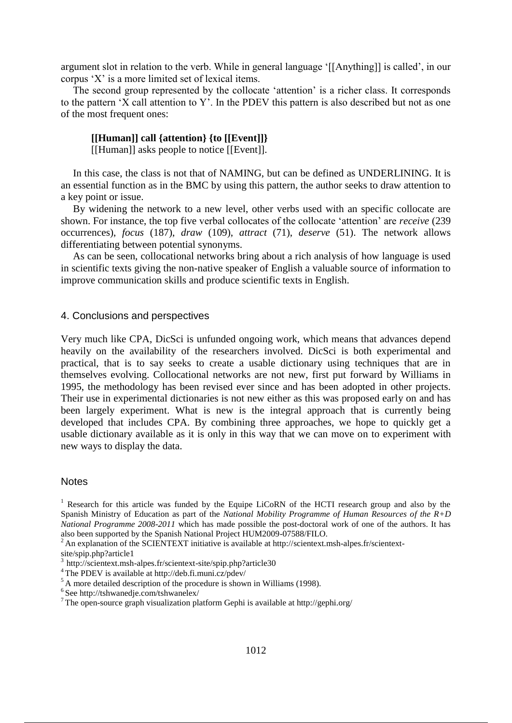argument slot in relation to the verb. While in general language '[[Anything]] is called', in our corpus 'X' is a more limited set of lexical items.

The second group represented by the collocate 'attention' is a richer class. It corresponds to the pattern 'X call attention to Y'. In the PDEV this pattern is also described but not as one of the most frequent ones:

# **[[Human]] call {attention} {to [[Event]]}**

[[Human]] asks people to notice [[Event]].

In this case, the class is not that of NAMING, but can be defined as UNDERLINING. It is an essential function as in the BMC by using this pattern, the author seeks to draw attention to a key point or issue.

By widening the network to a new level, other verbs used with an specific collocate are shown. For instance, the top five verbal collocates of the collocate 'attention' are *receive* (239) occurrences), *focus* (187), *draw* (109), *attract* (71), *deserve* (51). The network allows differentiating between potential synonyms.

As can be seen, collocational networks bring about a rich analysis of how language is used in scientific texts giving the non-native speaker of English a valuable source of information to improve communication skills and produce scientific texts in English.

#### 4. Conclusions and perspectives

Very much like CPA, DicSci is unfunded ongoing work, which means that advances depend heavily on the availability of the researchers involved. DicSci is both experimental and practical, that is to say seeks to create a usable dictionary using techniques that are in themselves evolving. Collocational networks are not new, first put forward by Williams in 1995, the methodology has been revised ever since and has been adopted in other projects. Their use in experimental dictionaries is not new either as this was proposed early on and has been largely experiment. What is new is the integral approach that is currently being developed that includes CPA. By combining three approaches, we hope to quickly get a usable dictionary available as it is only in this way that we can move on to experiment with new ways to display the data.

#### Notes

<sup>2</sup> An explanation of the SCIENTEXT initiative is available at http://scientext.msh-alpes.fr/scientext-

site/spip.php?article1

<sup>&</sup>lt;sup>1</sup> Research for this article was funded by the Equipe LiCoRN of the HCTI research group and also by the Spanish Ministry of Education as part of the *National Mobility Programme of Human Resources of the R+D National Programme 2008-2011* which has made possible the post-doctoral work of one of the authors. It has also been supported by the Spanish National Project HUM2009-07588/FILO.

<sup>&</sup>lt;sup>3</sup> http://scientext.msh-alpes.fr/scientext-site/spip.php?article30

<sup>&</sup>lt;sup>4</sup>The PDEV is available at http://deb.fi.muni.cz/pdev/

 $5$ A more detailed description of the procedure is shown in Williams (1998).

 $6$ See http://tshwanedje.com/tshwanelex/

<sup>7</sup>The open-source graph visualization platform Gephi is available at http://gephi.org/